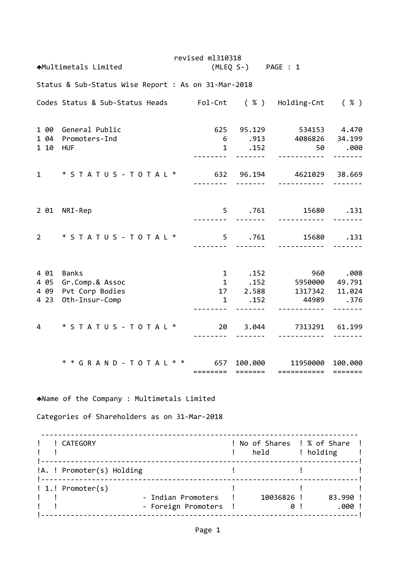revised ml310318 Multimetals Limited (MLEQ S‐) PAGE : 1 Status & Sub‐Status Wise Report : As on 31‐Mar‐2018 Codes Status & Sub‐Status Heads Fol‐Cnt ( % ) Holding‐Cnt ( % ) 1 00 General Public 625 95.129 534153 4.470 1 04 Promoters‐Ind 6 .913 4086826 34.199 1 10 HUF 1 .152 50 .000 **・・・・・・・・・・・・・・・・・・・・・・・・・・・・・・・・・・** 1 \* S T A T U S ‐ T O T A L \* 632 96.194 4621029 38.669 ‐‐‐‐‐‐‐‐ ‐‐‐‐‐‐‐ ‐‐‐‐‐‐‐‐‐‐‐ ‐‐‐‐‐‐‐ 2 01 NRI‐Rep 5 .761 15680 .131 ‐‐‐‐‐‐‐‐ ‐‐‐‐‐‐‐ ‐‐‐‐‐‐‐‐‐‐‐ ‐‐‐‐‐‐‐ 2 \* S T A T U S ‐ T O T A L \* 5 .761 15680 .131 ‐‐‐‐‐‐‐‐ ‐‐‐‐‐‐‐ ‐‐‐‐‐‐‐‐‐‐‐ ‐‐‐‐‐‐‐ 4 01 Banks 1 .152 960 .008 4 05 Gr.Comp.& Assoc 1 .152 5950000 49.791 4 09 Pvt Corp Bodies 17 2.588 1317342 11.024 4 23 Oth‐Insur‐Comp 1 .152 44989 .376 ‐‐‐‐‐‐‐‐ ‐‐‐‐‐‐‐ ‐‐‐‐‐‐‐‐‐‐‐ ‐‐‐‐‐‐‐ 4 \* S T A T U S ‐ T O T A L \* 20 3.044 7313291 61.199 ‐‐‐‐‐‐‐‐ ‐‐‐‐‐‐‐ ‐‐‐‐‐‐‐‐‐‐‐ ‐‐‐‐‐‐‐ \* \* G R A N D ‐ T O T A L \* \* 657 100.000 11950000 100.000 ======== ======= =========== ======= Name of the Company : Multimetals Limited Categories of Shareholders as on 31‐Mar‐2018 ‐‐‐‐‐‐‐‐‐‐‐‐‐‐‐‐‐‐‐‐‐‐‐‐‐‐‐‐‐‐‐‐‐‐‐‐‐‐‐‐‐‐‐‐‐‐‐‐‐‐‐‐‐‐‐‐‐‐‐‐‐‐‐‐‐‐‐‐‐‐‐‐‐‐‐ ! ! CATEGORY ! No of Shares ! % of Share ! ! ! ! held ! holding ! !‐‐‐‐‐‐‐‐‐‐‐‐‐‐‐‐‐‐‐‐‐‐‐‐‐‐‐‐‐‐‐‐‐‐‐‐‐‐‐‐‐‐‐‐‐‐‐‐‐‐‐‐‐‐‐‐‐‐‐‐‐‐‐‐‐‐‐‐‐‐‐‐‐‐‐! !A. ! Promoter(s) Holding  $\qquad \qquad$  ! !‐‐‐‐‐‐‐‐‐‐‐‐‐‐‐‐‐‐‐‐‐‐‐‐‐‐‐‐‐‐‐‐‐‐‐‐‐‐‐‐‐‐‐‐‐‐‐‐‐‐‐‐‐‐‐‐‐‐‐‐‐‐‐‐‐‐‐‐‐‐‐‐‐‐‐! ! 1.! Promoter(s) ! ! ! ! ! ‐ Indian Promoters ! 10036826 ! 83.990 ! ! ! ‐ Foreign Promoters ! 0 ! .000 ! !‐‐‐‐‐‐‐‐‐‐‐‐‐‐‐‐‐‐‐‐‐‐‐‐‐‐‐‐‐‐‐‐‐‐‐‐‐‐‐‐‐‐‐‐‐‐‐‐‐‐‐‐‐‐‐‐‐‐‐‐‐‐‐‐‐‐‐‐‐‐‐‐‐‐‐!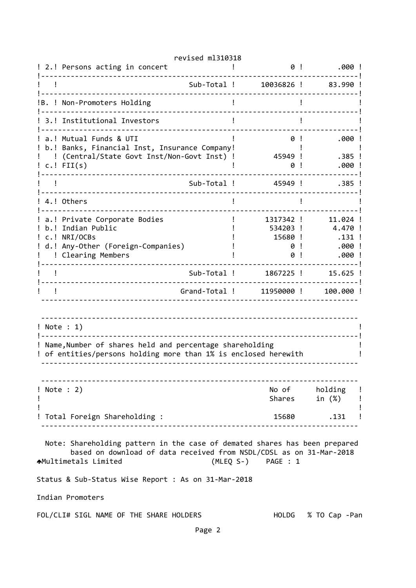| ! 2.! Persons acting in concert                                                                                                                                                                 | 0!                                         | .000!                                              |  |  |  |  |  |  |  |
|-------------------------------------------------------------------------------------------------------------------------------------------------------------------------------------------------|--------------------------------------------|----------------------------------------------------|--|--|--|--|--|--|--|
| Sub-Total !                                                                                                                                                                                     | 10036826 !                                 | 83.990                                             |  |  |  |  |  |  |  |
| !B. ! Non-Promoters Holding                                                                                                                                                                     |                                            |                                                    |  |  |  |  |  |  |  |
| 3.! Institutional Investors                                                                                                                                                                     |                                            |                                                    |  |  |  |  |  |  |  |
| a.! Mutual Funds & UTI<br>b.! Banks, Financial Inst, Insurance Company!<br>(Central/State Govt Inst/Non-Govt Inst) !<br>$c.$ ! FII $(s)$                                                        | 0!<br>45949 !<br>0                         | .000.<br>$.385$ !<br>.000                          |  |  |  |  |  |  |  |
| Sub-Total !                                                                                                                                                                                     | 45949 !                                    | .385 !                                             |  |  |  |  |  |  |  |
| 4.! Others                                                                                                                                                                                      |                                            |                                                    |  |  |  |  |  |  |  |
| a.! Private Corporate Bodies<br>Indian Public<br>h. !<br>c.! NRI/OCBs<br>d.! Any-Other (Foreign-Companies)<br>! Clearing Members                                                                | 1317342 !<br>534203 !<br>15680 !<br>0<br>0 | 11.024 !<br>4.470 !<br>.131 !<br>$.000$ !<br>.000! |  |  |  |  |  |  |  |
| Sub-Total !                                                                                                                                                                                     | 1867225 !                                  | 15.625 !                                           |  |  |  |  |  |  |  |
| Grand-Total !                                                                                                                                                                                   | 11950000 !                                 | 100.000!                                           |  |  |  |  |  |  |  |
| ! Note : 1)<br>Name, Number of shares held and percentage shareholding<br>of entities/persons holding more than 1% is enclosed herewith                                                         |                                            |                                                    |  |  |  |  |  |  |  |
| ! Note : 2)<br>Ţ                                                                                                                                                                                | No of<br>Shares                            | holding !<br>in (%)                                |  |  |  |  |  |  |  |
| ! Total Foreign Shareholding :                                                                                                                                                                  |                                            | 15680<br>.131                                      |  |  |  |  |  |  |  |
| Note: Shareholding pattern in the case of demated shares has been prepared<br>based on download of data received from NSDL/CDSL as on 31-Mar-2018<br>★Multimetals Limited<br>(MLEQ S-) PAGE : 1 |                                            |                                                    |  |  |  |  |  |  |  |
| Status & Sub-Status Wise Report : As on 31-Mar-2018                                                                                                                                             |                                            |                                                    |  |  |  |  |  |  |  |
| Indian Promoters                                                                                                                                                                                |                                            |                                                    |  |  |  |  |  |  |  |
| FOL/CLI# SIGL NAME OF THE SHARE HOLDERS                                                                                                                                                         | HOLDG                                      | % TO Cap -Pan                                      |  |  |  |  |  |  |  |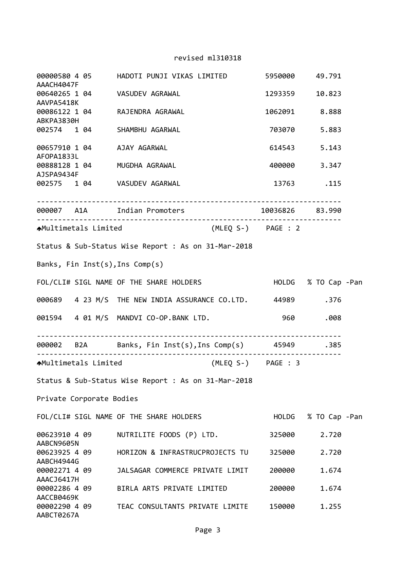| AAACH4047F                  |                     | 00000580 4 05        HADOTI PUNJI VIKAS LIMITED                5950000      49.791 |                    |                     |               |  |
|-----------------------------|---------------------|------------------------------------------------------------------------------------|--------------------|---------------------|---------------|--|
| AAVPA5418K                  |                     | 00640265 1 04 VASUDEV AGRAWAL                                                      |                    | 1293359             | 10.823        |  |
| ABKPA3830H                  |                     | 00086122 1 04 RAJENDRA AGRAWAL                                                     |                    | 1062091 8.888       |               |  |
|                             |                     | 002574 1 04 SHAMBHU AGARWAL                                                        |                    | 703070 5.883        |               |  |
| AFOPA1833L                  |                     | 00657910 1 04 AJAY AGARWAL                                                         |                    | 614543 5.143        |               |  |
| AJSPA9434F                  |                     | 00888128 1 04 MUGDHA AGRAWAL                                                       |                    | 400000 3.347        |               |  |
|                             |                     | 002575 1 04 VASUDEV AGARWAL 13763 .115                                             |                    |                     |               |  |
|                             |                     |                                                                                    |                    |                     |               |  |
|                             |                     | <b>↑</b> Multimetals Limited                                                       | (MLEQ S-) PAGE : 2 |                     |               |  |
|                             |                     | Status & Sub-Status Wise Report : As on 31-Mar-2018                                |                    |                     |               |  |
|                             |                     | Banks, Fin Inst(s), Ins Comp(s)                                                    |                    |                     |               |  |
|                             |                     | FOL/CLI# SIGL NAME OF THE SHARE HOLDERS                                            |                    | HOLDG % TO Cap -Pan |               |  |
|                             |                     | 000689  4 23 M/S THE NEW INDIA ASSURANCE CO.LTD.  44989  .376                      |                    |                     |               |  |
|                             |                     | 001594   4   01   M/S   MANDVI   CO-OP.BANK   LTD.                                 |                    | 960                 | .008          |  |
|                             | ------------------- | 000002 B2A Banks, Fin Inst(s), Ins Comp(s) 45949 .385                              |                    |                     |               |  |
|                             |                     | <b>A</b> Multimetals Limited                                                       | (MLEQ S-) PAGE : 3 |                     |               |  |
|                             |                     | Status & Sub-Status Wise Report : As on 31-Mar-2018                                |                    |                     |               |  |
| Private Corporate Bodies    |                     |                                                                                    |                    |                     |               |  |
|                             |                     | FOL/CLI# SIGL NAME OF THE SHARE HOLDERS                                            |                    | <b>HOLDG</b>        | % TO Cap -Pan |  |
| 00623910 4 09<br>AABCN9605N |                     | NUTRILITE FOODS (P) LTD.                                                           |                    | 325000              | 2.720         |  |
| 00623925 4 09<br>AABCH4944G |                     | HORIZON & INFRASTRUCPROJECTS TU                                                    |                    | 325000              | 2.720         |  |
| 00002271 4 09<br>AAACJ6417H |                     | JALSAGAR COMMERCE PRIVATE LIMIT                                                    |                    | 200000              | 1.674         |  |
| 00002286 4 09<br>AACCB0469K |                     | BIRLA ARTS PRIVATE LIMITED                                                         |                    | 200000              | 1.674         |  |
| 00002290 4 09<br>AABCT0267A |                     | TEAC CONSULTANTS PRIVATE LIMITE                                                    |                    | 150000              | 1.255         |  |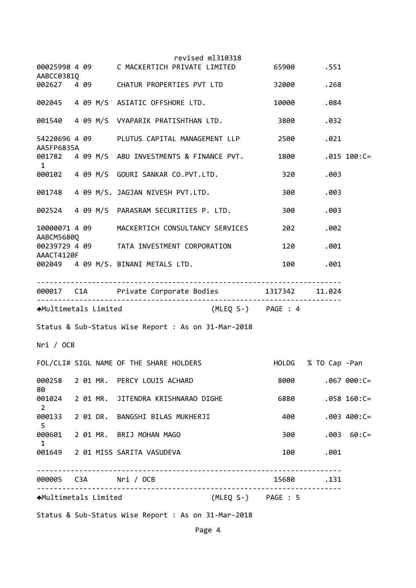|                   |                                         |  | revised ml310318                                    |                          |           | .551                |                |
|-------------------|-----------------------------------------|--|-----------------------------------------------------|--------------------------|-----------|---------------------|----------------|
| AABCC0381Q        |                                         |  | 002627 4 09 CHATUR PROPERTIES PVT LTD               |                          | 32000     | .268                |                |
|                   |                                         |  | 002045 4 09 M/S ASIATIC OFFSHORE LTD.               |                          | 10000     | .084                |                |
|                   |                                         |  | 001540 4 09 M/S VYAPARIK PRATISHTHAN LTD.           |                          | 3800      | .032                |                |
| AASFP6835A        |                                         |  |                                                     |                          | 2500      | .021                |                |
| 1                 |                                         |  | 001782 4 09 M/S ABU INVESTMENTS & FINANCE PVT.      |                          | 1800      |                     | $.015 100:C =$ |
|                   |                                         |  |                                                     |                          | 320       | .003                |                |
|                   | 001748 4 09 M/S. JAGJAN NIVESH PVT.LTD. |  |                                                     |                          | 300       | .003                |                |
|                   |                                         |  | 002524 4 09 M/S PARASRAM SECURITIES P. LTD.         |                          | 300       | .003                |                |
| AABCM56800        |                                         |  | 10000071 4 09 MACKERTICH CONSULTANCY SERVICES       |                          | 202       | .002                |                |
| AAACT4120F        |                                         |  | 00239729 4 09 TATA INVESTMENT CORPORATION           |                          | 120       | .001                |                |
|                   |                                         |  | 002049 4 09 M/S. BINANI METALS LTD.                 |                          | 100       | .001                |                |
|                   |                                         |  |                                                     |                          |           |                     |                |
|                   |                                         |  | 000017 C1A Private Corporate Bodies 1317342 11.024  |                          |           |                     |                |
|                   |                                         |  | AMultimetals Limited                                | (MLEQ S-) PAGE : 4       |           |                     |                |
|                   |                                         |  | Status & Sub-Status Wise Report : As on 31-Mar-2018 |                          |           |                     |                |
| Nri / OCB         |                                         |  |                                                     |                          |           |                     |                |
|                   |                                         |  | FOL/CLI# SIGL NAME OF THE SHARE HOLDERS             |                          |           | HOLDG % TO Cap -Pan |                |
|                   |                                         |  | 000258 2 01 MR. PERCY LOUIS ACHARD                  |                          | 8000      |                     | $.067000:C=$   |
| 80                |                                         |  | 001024 2 01 MR. JITENDRA KRISHNARAO DIGHE           |                          | 6880      |                     | $.058$ 160:C=  |
| $\overline{2}$    |                                         |  | 000133 2 01 DR. BANGSHI BILAS MUKHERJI              |                          | 400       |                     | $.003$ 400:C=  |
| 5<br>$\mathbf{1}$ |                                         |  | 000601 2 01 MR. BRIJ MOHAN MAGO                     |                          | 300 — 10  |                     | $.003 60:C =$  |
|                   |                                         |  | 001649 2 01 MISS SARITA VASUDEVA                    |                          | 100       | .001                |                |
|                   |                                         |  | . <u>.</u> .                                        | ------------------------ | 15680.131 |                     |                |

Status & Sub‐Status Wise Report : As on 31‐Mar‐2018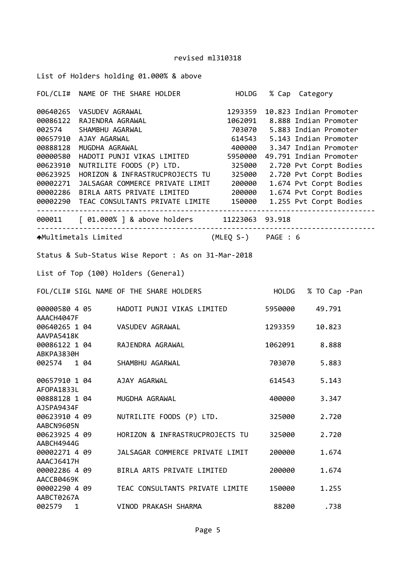|  | List of Holders holding 01.000% & above |  |  |
|--|-----------------------------------------|--|--|
|  |                                         |  |  |

|                             |              | FOL/CLI# NAME OF THE SHARE HOLDER HOLDG % Cap Category                                                                                                                                                                                                                                                                                                                                                                                                                                                                                                                                 |         |               |  |
|-----------------------------|--------------|----------------------------------------------------------------------------------------------------------------------------------------------------------------------------------------------------------------------------------------------------------------------------------------------------------------------------------------------------------------------------------------------------------------------------------------------------------------------------------------------------------------------------------------------------------------------------------------|---------|---------------|--|
| 00000580<br>00002271        |              | 00640265 VASUDEV AGRAWAL 1293359 10.823 Indian Promoter<br>00086122 RAJENDRA AGRAWAL 1062091 8.888 Indian Promoter<br>002574 SHAMBHU AGARWAL 703070 5.883 Indian Promoter<br>00657910 AJAY AGARWAL 614543 5.143 Indian Promoter<br>008<br>HADOTI PUNJI VIKAS LIMITED 5950000 49.791 Indian Promoter<br>00623910 NUTRILITE FOODS (P) LTD. 325000 2.720 Pvt Corpt Bodies<br>00623925 HORIZON & INFRASTRUCPROJECTS TU 325000 2.720 Pvt Corpt Bodies<br>JALSAGAR COMMERCE PRIVATE LIMIT 200000 1.674 Pvt Corpt Bodies<br>00002286 BIRLA ARTS PRIVATE LIMITED 200000 1.674 Pvt Corpt Bodies |         |               |  |
|                             |              | 000011 [ 01.000% ] & above holders 11223063 93.918                                                                                                                                                                                                                                                                                                                                                                                                                                                                                                                                     |         | .             |  |
|                             |              | AMultimetals Limited (MLEQ S-) PAGE : 6                                                                                                                                                                                                                                                                                                                                                                                                                                                                                                                                                |         |               |  |
|                             |              | Status & Sub-Status Wise Report : As on 31-Mar-2018                                                                                                                                                                                                                                                                                                                                                                                                                                                                                                                                    |         |               |  |
|                             |              | List of Top (100) Holders (General)                                                                                                                                                                                                                                                                                                                                                                                                                                                                                                                                                    |         |               |  |
|                             |              | FOL/CLI# SIGL NAME OF THE SHARE HOLDERS FOLLOG % TO Cap -Pan                                                                                                                                                                                                                                                                                                                                                                                                                                                                                                                           |         |               |  |
| AAACH4047F                  |              |                                                                                                                                                                                                                                                                                                                                                                                                                                                                                                                                                                                        |         | 49.791        |  |
| AAVPA5418K                  |              | 00640265 1 04 VASUDEV AGRAWAL                                                                                                                                                                                                                                                                                                                                                                                                                                                                                                                                                          | 1293359 | 10.823        |  |
| ABKPA3830H                  |              | 00086122 1 04 RAJENDRA AGRAWAL<br>ARKRAZROCH                                                                                                                                                                                                                                                                                                                                                                                                                                                                                                                                           |         | 1062091 8.888 |  |
|                             |              | 002574 1 04 SHAMBHU AGARWAL                                                                                                                                                                                                                                                                                                                                                                                                                                                                                                                                                            |         | 703070 5.883  |  |
| AFOPA1833L                  |              | 00657910 1 04 AJAY AGARWAL                                                                                                                                                                                                                                                                                                                                                                                                                                                                                                                                                             |         | 614543 5.143  |  |
| 00888128 1 04<br>AJSPA9434F |              | MUGDHA AGRAWAL                                                                                                                                                                                                                                                                                                                                                                                                                                                                                                                                                                         |         | 400000 3.347  |  |
| 00623910 4 09<br>AABCN9605N |              | NUTRILITE FOODS (P) LTD.                                                                                                                                                                                                                                                                                                                                                                                                                                                                                                                                                               | 325000  | 2.720         |  |
| 00623925 4 09<br>AABCH4944G |              | HORIZON & INFRASTRUCPROJECTS TU                                                                                                                                                                                                                                                                                                                                                                                                                                                                                                                                                        | 325000  | 2.720         |  |
| 00002271 4 09<br>AAACJ6417H |              | JALSAGAR COMMERCE PRIVATE LIMIT                                                                                                                                                                                                                                                                                                                                                                                                                                                                                                                                                        | 200000  | 1.674         |  |
| 00002286 4 09<br>AACCB0469K |              | BIRLA ARTS PRIVATE LIMITED                                                                                                                                                                                                                                                                                                                                                                                                                                                                                                                                                             | 200000  | 1.674         |  |
| 00002290 4 09<br>AABCT0267A |              | TEAC CONSULTANTS PRIVATE LIMITE                                                                                                                                                                                                                                                                                                                                                                                                                                                                                                                                                        | 150000  | 1.255         |  |
| 002579                      | $\mathbf{1}$ | VINOD PRAKASH SHARMA                                                                                                                                                                                                                                                                                                                                                                                                                                                                                                                                                                   | 88200   | .738          |  |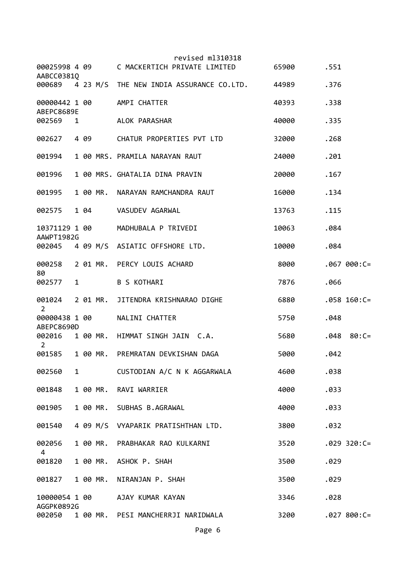|                                   |              |      |          | revised ml310318<br>00025998 4 09 C MACKERTICH PRIVATE LIMITED | 65900 | .551 |                |
|-----------------------------------|--------------|------|----------|----------------------------------------------------------------|-------|------|----------------|
| AABCC03810                        |              |      |          | 000689 4 23 M/S THE NEW INDIA ASSURANCE CO.LTD. 44989          |       | .376 |                |
| 00000442 1 00<br>ABEPC8689E       |              |      |          | AMPI CHATTER                                                   | 40393 | .338 |                |
| 002569 1                          |              |      |          | ALOK PARASHAR                                                  | 40000 | .335 |                |
| 002627                            |              | 4 09 |          | CHATUR PROPERTIES PVT LTD                                      | 32000 | .268 |                |
| 001994                            |              |      |          | 1 00 MRS. PRAMILA NARAYAN RAUT                                 | 24000 | .201 |                |
| 001996                            |              |      |          | 1 00 MRS. GHATALIA DINA PRAVIN                                 | 20000 | .167 |                |
| 001995                            |              |      | 1 00 MR. | NARAYAN RAMCHANDRA RAUT                                        | 16000 | .134 |                |
| 002575                            |              |      |          | 1 04 VASUDEV AGARWAL                                           | 13763 | .115 |                |
| 10371129 1 00<br>AAWPT1982G       |              |      |          | MADHUBALA P TRIVEDI                                            | 10063 | .084 |                |
|                                   |              |      |          | 002045 4 09 M/S ASIATIC OFFSHORE LTD.                          | 10000 | .084 |                |
| 000258<br>80                      |              |      |          | 2 01 MR. PERCY LOUIS ACHARD                                    | 8000  |      | $.067000:C=$   |
| 002577                            | 1            |      |          | <b>B S KOTHARI</b>                                             | 7876  | .066 |                |
| 001024<br>$\overline{2}$          |              |      | 2 01 MR. | JITENDRA KRISHNARAO DIGHE                                      | 6880  |      | $.058$ 160:C=  |
| 00000438 1 00<br>ABEPC8690D       |              |      |          | NALINI CHATTER                                                 | 5750  | .048 |                |
| 002016 1 00 MR.<br>$\overline{2}$ |              |      |          | HIMMAT SINGH JAIN C.A.                                         | 5680  | .048 | $80:C =$       |
| 001585                            |              |      |          | 1 00 MR. PREMRATAN DEVKISHAN DAGA                              | 5000  | .042 |                |
| 002560                            | $\mathbf{1}$ |      |          | CUSTODIAN A/C N K AGGARWALA                                    | 4600  | .038 |                |
| 001848                            |              |      | 1 00 MR. | RAVI WARRIER                                                   | 4000  | .033 |                |
| 001905                            |              |      |          | 1 00 MR. SUBHAS B.AGRAWAL                                      | 4000  | .033 |                |
| 001540                            |              |      |          | 4 09 M/S VYAPARIK PRATISHTHAN LTD.                             | 3800  | .032 |                |
| 002056<br>4                       |              |      |          | 1 00 MR. PRABHAKAR RAO KULKARNI                                | 3520  |      | $.029$ 320:C=  |
| 001820                            |              |      | 1 00 MR. | ASHOK P. SHAH                                                  | 3500  | .029 |                |
| 001827                            |              |      | 1 00 MR. | NIRANJAN P. SHAH                                               | 3500  | .029 |                |
| 10000054 1 00                     |              |      |          | AJAY KUMAR KAYAN                                               | 3346  | .028 |                |
| AGGPK0892G<br>002050              |              |      |          | 1 00 MR. PESI MANCHERRJI NARIDWALA                             | 3200  |      | $.027 800:C =$ |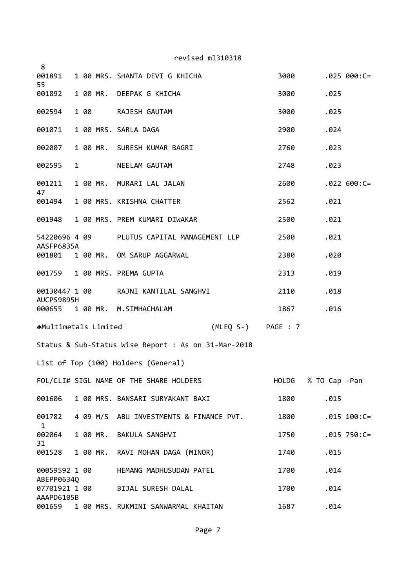revised ml310318 1 00 MRS. SHANTA DEVI G KHICHA 3000 .025 000:C= 1 00 MR. DEEPAK G KHICHA 3000 .025 1 00 RAJESH GAUTAM 3000 .025 1 00 MRS. SARLA DAGA 2900 .024 1 00 MR. SURESH KUMAR BAGRI 2760 .023 1 NEELAM GAUTAM 2748 .023 1 00 MR. MURARI LAL JALAN 2600 .022 600:C= 1 00 MRS. KRISHNA CHATTER 2562 .021 1 00 MRS. PREM KUMARI DIWAKAR 2500 .021 4 09 PLUTUS CAPITAL MANAGEMENT LLP 2500 .021 AASFP6835A 1 00 MR. OM SARUP AGGARWAL 2380 .020 1 00 MRS. PREMA GUPTA 2313 .019 1 00 RAJNI KANTILAL SANGHVI 2110 .018 AUCPS9895H 1 00 MR. M.SIMHACHALAM 1867 .016 Multimetals Limited (MLEQ S‐) PAGE : 7 Status & Sub‐Status Wise Report : As on 31‐Mar‐2018 List of Top (100) Holders (General) FOL/CLI# SIGL NAME OF THE SHARE HOLDERS HOLDG % TO Cap ‐Pan 1 00 MRS. BANSARI SURYAKANT BAXI 1800 .015 4 09 M/S ABU INVESTMENTS & FINANCE PVT. 1800 .015 100:C= 1 00 MR. BAKULA SANGHVI 1750 .015 750:C= 1 00 MR. RAVI MOHAN DAGA (MINOR) 1740 .015 1 00 HEMANG MADHUSUDAN PATEL 1700 .014 ABEPP0634Q 1 00 BIJAL SURESH DALAL 1700 .014 AAAPD6105B 1 00 MRS. RUKMINI SANWARMAL KHAITAN 1687 .014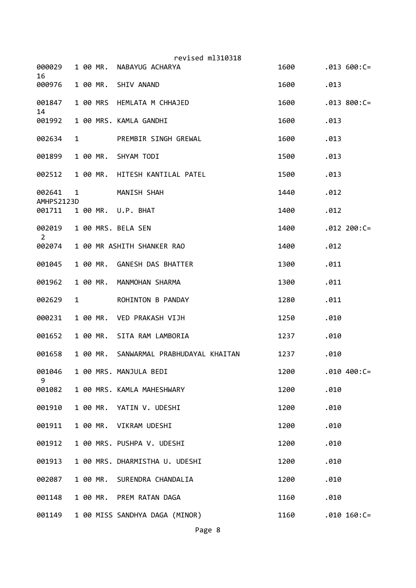| 000029<br>16             |              | 1 00 MR. | revised ml310318<br>NABAYUG ACHARYA    | 1600 |      | $.013 600:C =$ |
|--------------------------|--------------|----------|----------------------------------------|------|------|----------------|
| 000976                   |              |          | 1 00 MR. SHIV ANAND                    | 1600 | .013 |                |
| 001847                   |              |          | 1 00 MRS HEMLATA M CHHAJED             | 1600 |      | $.013 800:C =$ |
| 14<br>001992             |              |          | 1 00 MRS. KAMLA GANDHI                 | 1600 | .013 |                |
| 002634                   | $\mathbf{1}$ |          | PREMBIR SINGH GREWAL                   | 1600 | .013 |                |
| 001899                   |              |          | 1 00 MR. SHYAM TODI                    | 1500 | .013 |                |
| 002512                   |              | 1 00 MR. | HITESH KANTILAL PATEL                  | 1500 | .013 |                |
| 002641<br>AMHPS2123D     | 1            |          | MANISH SHAH                            | 1440 | .012 |                |
| 001711                   |              |          | 1 00 MR. U.P. BHAT                     | 1400 | .012 |                |
| 002019<br>$\overline{2}$ |              |          | 1 00 MRS. BELA SEN                     | 1400 |      | $.012 200:C =$ |
| 002074                   |              |          | 1 00 MR ASHITH SHANKER RAO             | 1400 | .012 |                |
| 001045                   |              |          | 1 00 MR. GANESH DAS BHATTER            | 1300 | .011 |                |
| 001962                   |              | 1 00 MR. | MANMOHAN SHARMA                        | 1300 | .011 |                |
| 002629                   | 1            |          | ROHINTON B PANDAY                      | 1280 | .011 |                |
| 000231                   |              |          | 1 00 MR. VED PRAKASH VIJH              | 1250 | .010 |                |
| 001652                   |              |          | 1 00 MR. SITA RAM LAMBORIA             | 1237 | .010 |                |
| 001658                   |              |          | 1 00 MR. SANWARMAL PRABHUDAYAL KHAITAN | 1237 | .010 |                |
| 001046<br>9              |              |          | 1 00 MRS. MANJULA BEDI                 | 1200 |      | $.010 400:C =$ |
| 001082                   |              |          | 1 00 MRS. KAMLA MAHESHWARY             | 1200 | .010 |                |
| 001910                   |              |          | 1 00 MR. YATIN V. UDESHI               | 1200 | .010 |                |
| 001911                   |              |          | 1 00 MR. VIKRAM UDESHI                 | 1200 | .010 |                |
| 001912                   |              |          | 1 00 MRS. PUSHPA V. UDESHI             | 1200 | .010 |                |
| 001913                   |              |          | 1 00 MRS. DHARMISTHA U. UDESHI         | 1200 | .010 |                |
| 002087                   |              | 1 00 MR. | SURENDRA CHANDALIA                     | 1200 | .010 |                |
| 001148                   |              |          | 1 00 MR. PREM RATAN DAGA               | 1160 | .010 |                |
| 001149                   |              |          | 1 00 MISS SANDHYA DAGA (MINOR)         | 1160 |      | $.010 160:C =$ |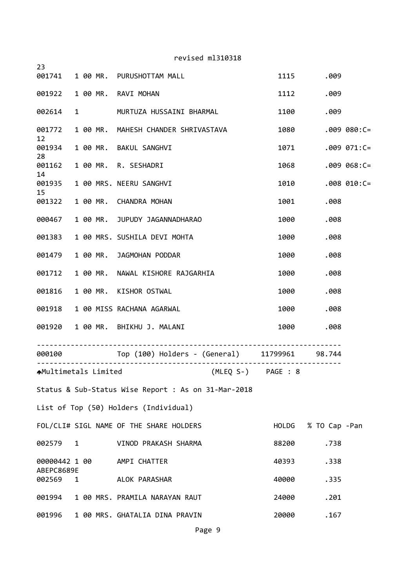| revised ml310318                           |              |  |      |                                                      |                    |               |                  |  |
|--------------------------------------------|--------------|--|------|------------------------------------------------------|--------------------|---------------|------------------|--|
| 23                                         |              |  |      | 001741 1 00 MR. PURUSHOTTAM MALL                     | 1115               | .009          |                  |  |
|                                            |              |  |      | 001922 1 00 MR. RAVI MOHAN                           | 1112               | .009          |                  |  |
| 002614                                     |              |  |      | 1 MURTUZA HUSSAINI BHARMAL                           | 1100               | .009          |                  |  |
|                                            |              |  |      |                                                      |                    |               |                  |  |
| 12                                         |              |  |      | 001772 1 00 MR. MAHESH CHANDER SHRIVASTAVA           | 1080               |               | $.009080:C =$    |  |
| 001934<br>28                               |              |  |      | 1 00 MR. BAKUL SANGHVI                               | 1071               |               | $.009$ $071:C =$ |  |
| 14                                         |              |  |      | 001162  1  00 MR. R. SESHADRI                        | 1068               |               | $.009068:C =$    |  |
|                                            |              |  |      | 001935 1 00 MRS. NEERU SANGHVI                       | 1010               |               | $.008$ $010:$ C= |  |
| 15                                         |              |  |      | 001322 1 00 MR. CHANDRA MOHAN                        | 1001               | .008          |                  |  |
| 000467                                     |              |  |      | 1 00 MR. JUPUDY JAGANNADHARAO                        | 1000               | .008          |                  |  |
|                                            |              |  |      | 001383 1 00 MRS. SUSHILA DEVI MOHTA                  | 1000               | .008          |                  |  |
| 1 00 MR. JAGMOHAN PODDAR<br>001479         |              |  |      | 1000                                                 | .008               |               |                  |  |
| 1 00 MR. NAWAL KISHORE RAJGARHIA<br>001712 |              |  | 1000 | .008                                                 |                    |               |                  |  |
|                                            |              |  |      | 001816  1  00 MR. KISHOR OSTWAL                      | 1000               | .008          |                  |  |
|                                            |              |  |      | 001918 1 00 MISS RACHANA AGARWAL                     | 1000               | .008          |                  |  |
|                                            |              |  |      | 001920 1 00 MR. BHIKHU J. MALANI                     | 1000               | .008          |                  |  |
|                                            |              |  | .    | 000100 Top (100) Holders - (General) 11799961 98.744 |                    |               |                  |  |
| <b>AMultimetals Limited</b>                |              |  |      |                                                      | (MLEQ S-) PAGE : 8 |               |                  |  |
|                                            |              |  |      | Status & Sub-Status Wise Report : As on 31-Mar-2018  |                    |               |                  |  |
|                                            |              |  |      | List of Top (50) Holders (Individual)                |                    |               |                  |  |
|                                            |              |  |      | FOL/CLI# SIGL NAME OF THE SHARE HOLDERS              | HOLDG              | % TO Cap -Pan |                  |  |
| 002579 1                                   |              |  |      | VINOD PRAKASH SHARMA                                 | 88200              | .738          |                  |  |
| 00000442 1 00                              |              |  |      | AMPI CHATTER                                         | 40393              | .338          |                  |  |
| ABEPC8689E<br>002569                       | $\mathbf{1}$ |  |      | ALOK PARASHAR                                        | 40000              | .335          |                  |  |
| 001994                                     |              |  |      | 1 00 MRS. PRAMILA NARAYAN RAUT                       | 24000              | .201          |                  |  |
| 001996                                     |              |  |      | 1 00 MRS. GHATALIA DINA PRAVIN                       | 20000              | .167          |                  |  |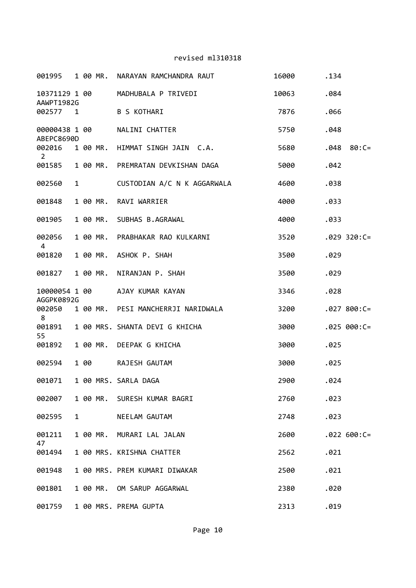| 001995                      |              |      | 1 00 MR. | NARAYAN RAMCHANDRA RAUT            | 16000 | .134 |                |
|-----------------------------|--------------|------|----------|------------------------------------|-------|------|----------------|
| 10371129 1 00<br>AAWPT1982G |              |      |          | MADHUBALA P TRIVEDI                | 10063 | .084 |                |
| 002577 1                    |              |      |          | <b>B S KOTHARI</b>                 | 7876  | .066 |                |
| 00000438 1 00<br>ABEPC8690D |              |      |          | NALINI CHATTER                     | 5750  | .048 |                |
| 002016<br>$\overline{2}$    |              |      | 1 00 MR. | HIMMAT SINGH JAIN C.A.             | 5680  | .048 | $80:C =$       |
| 001585                      |              |      | 1 00 MR. | PREMRATAN DEVKISHAN DAGA           | 5000  | .042 |                |
| 002560                      | $\mathbf{1}$ |      |          | CUSTODIAN A/C N K AGGARWALA        | 4600  | .038 |                |
| 001848                      |              |      | 1 00 MR. | RAVI WARRIER                       | 4000  | .033 |                |
| 001905                      |              |      | 1 00 MR. | SUBHAS B.AGRAWAL                   | 4000  | .033 |                |
| 002056<br>4                 |              |      | 1 00 MR. | PRABHAKAR RAO KULKARNI             | 3520  |      | $.029$ 320:C=  |
| 001820                      |              |      | 1 00 MR. | ASHOK P. SHAH                      | 3500  | .029 |                |
| 001827                      |              |      | 1 00 MR. | NIRANJAN P. SHAH                   | 3500  | .029 |                |
| 10000054 1 00<br>AGGPK0892G |              |      |          | AJAY KUMAR KAYAN                   | 3346  | .028 |                |
| 002050<br>8                 |              |      |          | 1 00 MR. PESI MANCHERRJI NARIDWALA | 3200  |      | $.027800:C=$   |
| 001891<br>55                |              |      |          | 1 00 MRS. SHANTA DEVI G KHICHA     | 3000  |      | $.025 000:C =$ |
| 001892                      |              |      |          | 1 00 MR. DEEPAK G KHICHA           | 3000  | .025 |                |
| 002594                      |              | 1 00 |          | RAJESH GAUTAM                      | 3000  | .025 |                |
| 001071                      |              |      |          | 1 00 MRS. SARLA DAGA               | 2900  | .024 |                |
| 002007                      |              |      |          | 1 00 MR. SURESH KUMAR BAGRI        | 2760  | .023 |                |
| 002595                      | $\mathbf{1}$ |      |          | NEELAM GAUTAM                      | 2748  | .023 |                |
| 001211<br>47                |              |      |          | 1 00 MR. MURARI LAL JALAN          | 2600  |      | $.022600:C=$   |
| 001494                      |              |      |          | 1 00 MRS. KRISHNA CHATTER          | 2562  | .021 |                |
| 001948                      |              |      |          | 1 00 MRS. PREM KUMARI DIWAKAR      | 2500  | .021 |                |
| 001801                      |              |      |          | 1 00 MR. OM SARUP AGGARWAL         | 2380  | .020 |                |
| 001759                      |              |      |          | 1 00 MRS. PREMA GUPTA              | 2313  | .019 |                |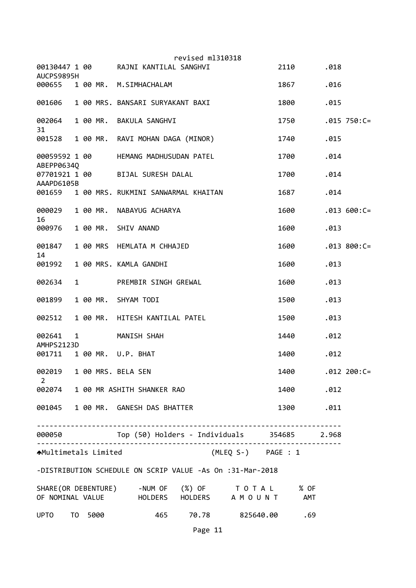|                                             |              |              | revised ml310318                                                                                 |      |      |                |
|---------------------------------------------|--------------|--------------|--------------------------------------------------------------------------------------------------|------|------|----------------|
| 00130447 1 00<br>AUCPS9895H                 |              |              | RAJNI KANTILAL SANGHVI                                                                           | 2110 | .018 |                |
| 000655                                      |              |              | 1 00 MR. M.SIMHACHALAM                                                                           | 1867 | .016 |                |
| 001606                                      |              |              | 1 00 MRS. BANSARI SURYAKANT BAXI                                                                 | 1800 | .015 |                |
| 002064<br>31                                |              |              | 1 00 MR. BAKULA SANGHVI                                                                          | 1750 |      | $.015$ 750:C=  |
| 001528                                      |              |              | 1 00 MR. RAVI MOHAN DAGA (MINOR)                                                                 | 1740 | .015 |                |
| 00059592 1 00<br>ABEPP0634Q                 |              |              | HEMANG MADHUSUDAN PATEL                                                                          | 1700 | .014 |                |
| 07701921 1 00<br>AAAPD6105B                 |              |              | BIJAL SURESH DALAL                                                                               | 1700 | .014 |                |
| 001659                                      |              |              | 1 00 MRS. RUKMINI SANWARMAL KHAITAN                                                              | 1687 | .014 |                |
| 000029<br>16                                |              | 1 00 MR.     | NABAYUG ACHARYA                                                                                  | 1600 |      | $.013 600:C =$ |
| 000976                                      |              |              | 1 00 MR. SHIV ANAND                                                                              | 1600 | .013 |                |
| 001847<br>14                                |              |              | 1 00 MRS HEMLATA M CHHAJED                                                                       | 1600 |      | $.013 800:C =$ |
| 001992                                      |              |              | 1 00 MRS. KAMLA GANDHI                                                                           | 1600 | .013 |                |
| 002634                                      | $\mathbf{1}$ |              | PREMBIR SINGH GREWAL                                                                             | 1600 | .013 |                |
| 001899                                      |              | 1 00 MR.     | SHYAM TODI                                                                                       | 1500 | .013 |                |
| 002512                                      |              | 1 00 MR.     | HITESH KANTILAL PATEL                                                                            | 1500 | .013 |                |
| 002641<br>AMHPS2123D                        | $\mathbf{1}$ |              | MANISH SHAH                                                                                      | 1440 | .012 |                |
| 001711                                      |              |              | 1 00 MR. U.P. BHAT                                                                               | 1400 | .012 |                |
| 002019 1 00 MRS. BELA SEN<br>$\overline{2}$ |              |              |                                                                                                  | 1400 |      | $.012 200:C =$ |
|                                             |              |              | 002074 1 00 MR ASHITH SHANKER RAO                                                                | 1400 | .012 |                |
|                                             |              |              | 001045 1 00 MR. GANESH DAS BHATTER                                                               | 1300 | .011 |                |
|                                             |              | . <u>.</u> . | . <u>.</u> .<br>000050 Top (50) Holders - Individuals 354685 2.968                               |      |      |                |
| <b>AMultimetals Limited</b>                 |              |              | (MLEQ S-) PAGE : 1                                                                               |      |      |                |
|                                             |              |              | -DISTRIBUTION SCHEDULE ON SCRIP VALUE -As On :31-Mar-2018                                        |      |      |                |
|                                             |              |              | SHARE (OR DEBENTURE) -NUM OF (%) OF TO TAL % OF<br>OF NOMINAL VALUE THOLDERS HOLDERS A MOUNT AMT |      |      |                |
|                                             |              |              |                                                                                                  |      |      |                |
| UPTO TO 5000                                |              |              | 465 70.78 825640.00                                                                              | .69  |      |                |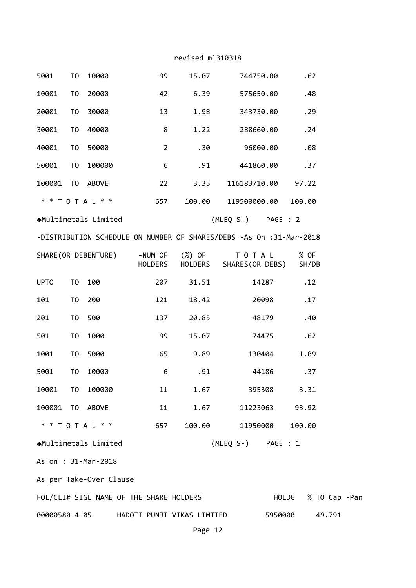| 5001                        | TO                                                                  | 10000             |  | 99             | 15.07                                                                                                                                                                                                                        | 744750.00                                                                          |                     | .62    |        |  |
|-----------------------------|---------------------------------------------------------------------|-------------------|--|----------------|------------------------------------------------------------------------------------------------------------------------------------------------------------------------------------------------------------------------------|------------------------------------------------------------------------------------|---------------------|--------|--------|--|
| 10001                       | T <sub>0</sub>                                                      | 20000             |  | 42             | 6.39                                                                                                                                                                                                                         | 575650.00                                                                          |                     | .48    |        |  |
| 20001                       | TO                                                                  | 30000             |  | 13             | 1.98                                                                                                                                                                                                                         | 343730.00                                                                          |                     | .29    |        |  |
| 30001                       | TO                                                                  | 40000             |  | 8              | 1.22                                                                                                                                                                                                                         | 288660.00                                                                          |                     | .24    |        |  |
| 40001                       | TO                                                                  | 50000             |  | $\overline{2}$ | .30                                                                                                                                                                                                                          | 96000.00                                                                           |                     | .08    |        |  |
| 50001                       | TO                                                                  | 100000            |  | 6              | .91                                                                                                                                                                                                                          | 441860.00                                                                          |                     | .37    |        |  |
| 100001                      |                                                                     | TO ABOVE          |  | 22             | 3.35                                                                                                                                                                                                                         | 116183710.00                                                                       |                     | 97.22  |        |  |
|                             |                                                                     | * * T O T A L * * |  | 657            | 100.00                                                                                                                                                                                                                       | 119500000.00                                                                       |                     | 100.00 |        |  |
|                             | (MLEQ S-) PAGE : 2<br><b>A</b> Multimetals Limited                  |                   |  |                |                                                                                                                                                                                                                              |                                                                                    |                     |        |        |  |
|                             | -DISTRIBUTION SCHEDULE ON NUMBER OF SHARES/DEBS -As On :31-Mar-2018 |                   |  |                |                                                                                                                                                                                                                              |                                                                                    |                     |        |        |  |
|                             |                                                                     |                   |  |                |                                                                                                                                                                                                                              | SHARE(OR DEBENTURE) -NUM OF (%) OF TO TAL<br>HOLDERS HOLDERS SHARES(OR DEBS) SH/DB |                     | % OF   |        |  |
| <b>UPTO</b>                 | TO                                                                  | 100               |  | 207            | 31.51                                                                                                                                                                                                                        |                                                                                    | 14287               | .12    |        |  |
| 101                         | T0                                                                  | 200               |  | 121            | 18.42                                                                                                                                                                                                                        |                                                                                    | 20098               | .17    |        |  |
| 201                         | T0                                                                  | 500               |  | 137            | 20.85                                                                                                                                                                                                                        |                                                                                    | 48179               | .40    |        |  |
| 501                         | T0                                                                  | 1000              |  | 99             | 15.07                                                                                                                                                                                                                        |                                                                                    | 74475               | .62    |        |  |
| 1001                        | TO                                                                  | 5000              |  | 65             | 9.89                                                                                                                                                                                                                         |                                                                                    | 130404              | 1.09   |        |  |
| 5001                        | TO                                                                  | 10000             |  | 6              | .91                                                                                                                                                                                                                          |                                                                                    | 44186               | .37    |        |  |
| 10001 TO 100000             |                                                                     |                   |  |                | $11$ and $11$ and $11$ and $11$ and $11$ and $11$ and $11$ and $11$ and $11$ and $11$ and $11$ and $11$ and $11$ and $11$ and $11$ and $11$ and $11$ and $11$ and $11$ and $11$ and $11$ and $11$ and $11$ and $11$ and $11$ | 1.67 395308 3.31                                                                   |                     |        |        |  |
| 100001 TO ABOVE             |                                                                     |                   |  |                | 11 1                                                                                                                                                                                                                         | 1.67 11223063 93.92                                                                |                     |        |        |  |
| * * T O T A L * * 657       |                                                                     |                   |  |                |                                                                                                                                                                                                                              | 100.00 11950000 100.00                                                             |                     |        |        |  |
| <b>AMultimetals Limited</b> |                                                                     |                   |  |                |                                                                                                                                                                                                                              | (MLEQ S-) PAGE : 1                                                                 |                     |        |        |  |
| As on : 31-Mar-2018         |                                                                     |                   |  |                |                                                                                                                                                                                                                              |                                                                                    |                     |        |        |  |
| As per Take-Over Clause     |                                                                     |                   |  |                |                                                                                                                                                                                                                              |                                                                                    |                     |        |        |  |
|                             |                                                                     |                   |  |                | FOL/CLI# SIGL NAME OF THE SHARE HOLDERS                                                                                                                                                                                      |                                                                                    | HOLDG % TO Cap -Pan |        |        |  |
|                             |                                                                     |                   |  |                |                                                                                                                                                                                                                              |                                                                                    |                     |        | 49.791 |  |